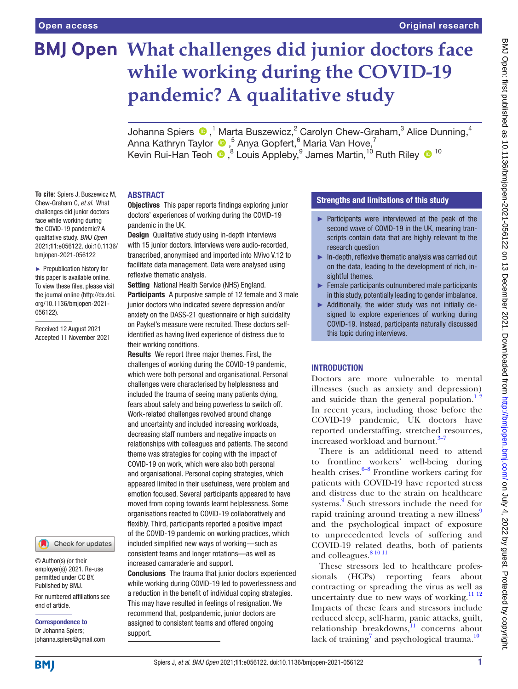**To cite:** Spiers J, Buszewicz M, Chew-Graham C, *et al*. What challenges did junior doctors face while working during the COVID-19 pandemic? A qualitative study. *BMJ Open* 2021;11:e056122. doi:10.1136/ bmjopen-2021-056122 ► Prepublication history for this paper is available online. To view these files, please visit the journal online [\(http://dx.doi.](http://dx.doi.org/10.1136/bmjopen-2021-056122) [org/10.1136/bmjopen-2021-](http://dx.doi.org/10.1136/bmjopen-2021-056122)

[056122\)](http://dx.doi.org/10.1136/bmjopen-2021-056122).

Received 12 August 2021 Accepted 11 November 2021

# **What challenges did junior doctors face while working during the COVID-19 pandemic? A qualitative study**

JohannaSpiers  $\bm{\Phi}$  ,<sup>1</sup> Marta Buszewicz,<sup>2</sup> Carolyn Chew-Graham,<sup>3</sup> Alice Dunning,<sup>4</sup> Anna Kathryn Taylor,5 Anya Gopfert,6 Maria Van Hove,7 KevinRui-Han Teoh <sup>®</sup>, <sup>8</sup> Louis Appleby, <sup>9</sup> James Martin, <sup>10</sup> Ruth Riley <sup>® 10</sup>

## ABSTRACT

**Objectives** This paper reports findings exploring junior doctors' experiences of working during the COVID-19 pandemic in the UK.

**Design** Qualitative study using in-depth interviews with 15 junior doctors. Interviews were audio-recorded, transcribed, anonymised and imported into NVivo V.12 to facilitate data management. Data were analysed using reflexive thematic analysis.

Setting National Health Service (NHS) England. Participants A purposive sample of 12 female and 3 male junior doctors who indicated severe depression and/or anxiety on the DASS-21 questionnaire or high suicidality on Paykel's measure were recruited. These doctors selfidentified as having lived experience of distress due to their working conditions.

Results We report three major themes. First, the challenges of working during the COVID-19 pandemic, which were both personal and organisational. Personal challenges were characterised by helplessness and included the trauma of seeing many patients dying, fears about safety and being powerless to switch off. Work-related challenges revolved around change and uncertainty and included increasing workloads, decreasing staff numbers and negative impacts on relationships with colleagues and patients. The second theme was strategies for coping with the impact of COVID-19 on work, which were also both personal and organisational. Personal coping strategies, which appeared limited in their usefulness, were problem and emotion focused. Several participants appeared to have moved from coping towards learnt helplessness. Some organisations reacted to COVID-19 collaboratively and flexibly. Third, participants reported a positive impact of the COVID-19 pandemic on working practices, which included simplified new ways of working—such as consistent teams and longer rotations—as well as increased camaraderie and support.

Conclusions The trauma that junior doctors experienced while working during COVID-19 led to powerlessness and a reduction in the benefit of individual coping strategies. This may have resulted in feelings of resignation. We recommend that, postpandemic, junior doctors are assigned to consistent teams and offered ongoing support.

# Strengths and limitations of this study

- ► Participants were interviewed at the peak of the second wave of COVID-19 in the UK, meaning transcripts contain data that are highly relevant to the research question
- $\blacktriangleright$  In-depth, reflexive thematic analysis was carried out on the data, leading to the development of rich, insightful themes.
- $\blacktriangleright$  Female participants outnumbered male participants in this study, potentially leading to gender imbalance.
- ► Additionally, the wider study was not initially designed to explore experiences of working during COVID-19. Instead, participants naturally discussed this topic during interviews.

## **INTRODUCTION**

Doctors are more vulnerable to mental illnesses (such as anxiety and depression) and suicide than the general population.<sup>12</sup> In recent years, including those before the COVID-19 pandemic, UK doctors have reported understaffing, stretched resources, increased workload and burnout.<sup>[3–7](#page-8-1)</sup>

There is an additional need to attend to frontline workers' well-being during health crises. $6-8$  Frontline workers caring for patients with COVID-19 have reported stress and distress due to the strain on healthcare systems.<sup>[9](#page-8-3)</sup> Such stressors include the need for rapid training around treating a new illness<sup>[9](#page-8-3)</sup> and the psychological impact of exposure to unprecedented levels of suffering and COVID-19 related deaths, both of patients and colleagues. [8 10 11](#page-8-4)

These stressors led to healthcare professionals (HCPs) reporting fears about contracting or spreading the virus as well as uncertainty due to new ways of working.<sup>[11 12](#page-8-5)</sup> Impacts of these fears and stressors include reduced sleep, self-harm, panic attacks, guilt, relationship breakdowns, $\frac{11}{11}$  $\frac{11}{11}$  $\frac{11}{11}$  concerns about lack of training<sup>[7](#page-8-6)</sup> and psychological trauma.<sup>[10](#page-8-7)</sup>

**BMI** 

end of article.

Correspondence to Dr Johanna Spiers; johanna.spiers@gmail.com

© Author(s) (or their employer(s)) 2021. Re-use permitted under CC BY. Published by BMJ.

For numbered affiliations see

Check for updates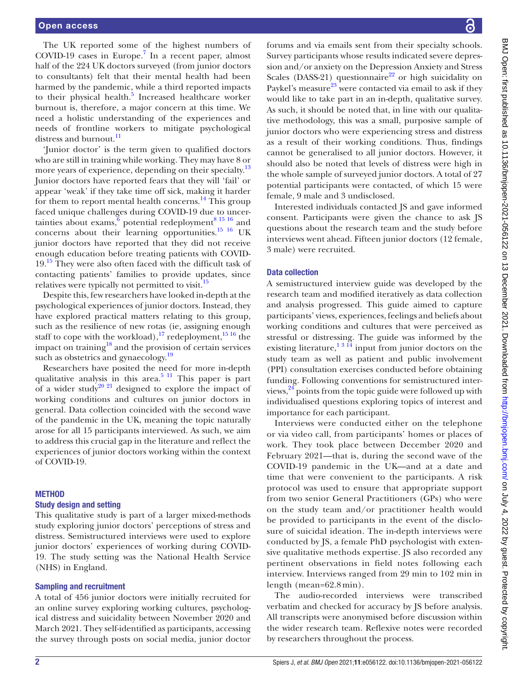The UK reported some of the highest numbers of COVID-19 cases in Europe.<sup>[7](#page-8-6)</sup> In a recent paper, almost half of the 224 UK doctors surveyed (from junior doctors to consultants) felt that their mental health had been harmed by the pandemic, while a third reported impacts to their physical health.<sup>[5](#page-8-8)</sup> Increased healthcare worker burnout is, therefore, a major concern at this time. We need a holistic understanding of the experiences and needs of frontline workers to mitigate psychological distress and burnout.<sup>[11](#page-8-5)</sup>

'Junior doctor' is the term given to qualified doctors who are still in training while working. They may have 8 or more years of experience, depending on their specialty.<sup>13</sup> Junior doctors have reported fears that they will 'fail' or appear 'weak' if they take time off sick, making it harder for them to report mental health concerns. $^{14}$  $^{14}$  $^{14}$  This group faced unique challenges during COVID-19 due to uncertainties about exams, $\overline{6}$  potential redeployment<sup>8 15</sup> 16 and concerns about their learning opportunities.<sup>15 16</sup> UK junior doctors have reported that they did not receive enough education before treating patients with COVID-19.<sup>[15](#page-8-11)</sup> They were also often faced with the difficult task of contacting patients' families to provide updates, since relatives were typically not permitted to visit.<sup>15</sup>

Despite this, few researchers have looked in-depth at the psychological experiences of junior doctors. Instead, they have explored practical matters relating to this group, such as the resilience of new rotas (ie, assigning enough staff to cope with the workload),<sup>17</sup> redeployment, $1516$  the impact on training $^{18}$  and the provision of certain services such as obstetrics and gynaecology.<sup>19</sup>

Researchers have posited the need for more in-depth qualitative analysis in this area.<sup>5 11</sup> This paper is part of a wider study<sup>20 21</sup> designed to explore the impact of working conditions and cultures on junior doctors in general. Data collection coincided with the second wave of the pandemic in the UK, meaning the topic naturally arose for all 15 participants interviewed. As such, we aim to address this crucial gap in the literature and reflect the experiences of junior doctors working within the context of COVID-19.

## **METHOD**

## Study design and setting

This qualitative study is part of a larger mixed-methods study exploring junior doctors' perceptions of stress and distress. Semistructured interviews were used to explore junior doctors' experiences of working during COVID-19. The study setting was the National Health Service (NHS) in England.

## Sampling and recruitment

A total of 456 junior doctors were initially recruited for an online survey exploring working cultures, psychological distress and suicidality between November 2020 and March 2021. They self-identified as participants, accessing the survey through posts on social media, junior doctor

forums and via emails sent from their specialty schools. Survey participants whose results indicated severe depression and/or anxiety on the Depression Anxiety and Stress Scales (DASS-21) questionnaire<sup>22</sup> or high suicidality on Paykel's measure<sup>[23](#page-9-1)</sup> were contacted via email to ask if they would like to take part in an in-depth, qualitative survey. As such, it should be noted that, in line with our qualitative methodology, this was a small, purposive sample of junior doctors who were experiencing stress and distress as a result of their working conditions. Thus, findings cannot be generalised to all junior doctors. However, it should also be noted that levels of distress were high in the whole sample of surveyed junior doctors. A total of 27 potential participants were contacted, of which 15 were female, 9 male and 3 undisclosed.

Interested individuals contacted JS and gave informed consent. Participants were given the chance to ask JS questions about the research team and the study before interviews went ahead. Fifteen junior doctors (12 female, 3 male) were recruited.

# Data collection

A semistructured interview guide was developed by the research team and modified iteratively as data collection and analysis progressed. This guide aimed to capture participants' views, experiences, feelings and beliefs about working conditions and cultures that were perceived as stressful or distressing. The guide was informed by the existing literature,  $1 \times 1^3$  input from junior doctors on the study team as well as patient and public involvement (PPI) consultation exercises conducted before obtaining funding. Following conventions for semistructured interviews, <sup>24</sup> points from the topic guide were followed up with individualised questions exploring topics of interest and importance for each participant.

Interviews were conducted either on the telephone or via video call, from participants' homes or places of work. They took place between December 2020 and February 2021—that is, during the second wave of the COVID-19 pandemic in the UK—and at a date and time that were convenient to the participants. A risk protocol was used to ensure that appropriate support from two senior General Practitioners (GPs) who were on the study team and/or practitioner health would be provided to participants in the event of the disclosure of suicidal ideation. The in-depth interviews were conducted by JS, a female PhD psychologist with extensive qualitative methods expertise. JS also recorded any pertinent observations in field notes following each interview. Interviews ranged from 29 min to 102 min in length (mean=62.8 min).

The audio-recorded interviews were transcribed verbatim and checked for accuracy by JS before analysis. All transcripts were anonymised before discussion within the wider research team. Reflexive notes were recorded by researchers throughout the process.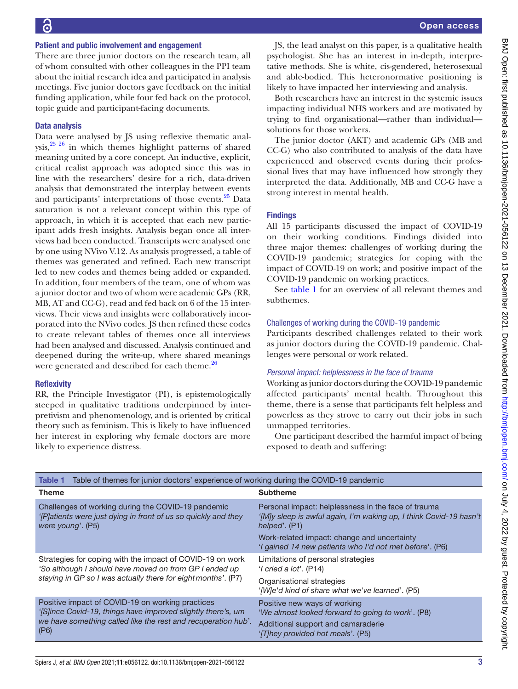#### Patient and public involvement and engagement

There are three junior doctors on the research team, all of whom consulted with other colleagues in the PPI team about the initial research idea and participated in analysis meetings. Five junior doctors gave feedback on the initial funding application, while four fed back on the protocol, topic guide and participant-facing documents.

## Data analysis

Data were analysed by JS using reflexive thematic analysis, $25 \times 26$  in which themes highlight patterns of shared meaning united by a core concept. An inductive, explicit, critical realist approach was adopted since this was in line with the researchers' desire for a rich, data-driven analysis that demonstrated the interplay between events and participants' interpretations of those events.<sup>[25](#page-9-3)</sup> Data saturation is not a relevant concept within this type of approach, in which it is accepted that each new participant adds fresh insights. Analysis began once all interviews had been conducted. Transcripts were analysed one by one using NVivo V.12. As analysis progressed, a table of themes was generated and refined. Each new transcript led to new codes and themes being added or expanded. In addition, four members of the team, one of whom was a junior doctor and two of whom were academic GPs (RR, MB, AT and CC-G), read and fed back on 6 of the 15 interviews. Their views and insights were collaboratively incorporated into the NVivo codes. JS then refined these codes to create relevant tables of themes once all interviews had been analysed and discussed. Analysis continued and deepened during the write-up, where shared meanings were generated and described for each theme.<sup>[26](#page-9-4)</sup>

#### **Reflexivity**

RR, the Principle Investigator (PI), is epistemologically steeped in qualitative traditions underpinned by interpretivism and phenomenology, and is oriented by critical theory such as feminism. This is likely to have influenced her interest in exploring why female doctors are more likely to experience distress.

JS, the lead analyst on this paper, is a qualitative health psychologist. She has an interest in in-depth, interpretative methods. She is white, cis-gendered, heterosexual and able-bodied. This heteronormative positioning is likely to have impacted her interviewing and analysis.

Both researchers have an interest in the systemic issues impacting individual NHS workers and are motivated by trying to find organisational—rather than individual solutions for those workers.

The junior doctor (AKT) and academic GPs (MB and CC-G) who also contributed to analysis of the data have experienced and observed events during their professional lives that may have influenced how strongly they interpreted the data. Additionally, MB and CC-G have a strong interest in mental health.

## **Findings**

All 15 participants discussed the impact of COVID-19 on their working conditions. Findings divided into three major themes: challenges of working during the COVID-19 pandemic; strategies for coping with the impact of COVID-19 on work; and positive impact of the COVID-19 pandemic on working practices.

See [table](#page-2-0) 1 for an overview of all relevant themes and subthemes.

## Challenges of working during the COVID-19 pandemic

Participants described challenges related to their work as junior doctors during the COVID-19 pandemic. Challenges were personal or work related.

## *Personal impact: helplessness in the face of trauma*

Working as junior doctors during the COVID-19 pandemic affected participants' mental health. Throughout this theme, there is a sense that participants felt helpless and powerless as they strove to carry out their jobs in such unmapped territories.

One participant described the harmful impact of being exposed to death and suffering:

<span id="page-2-0"></span>

| Table of themes for junior doctors' experience of working during the COVID-19 pandemic<br>Table 1                                                                                         |                                                                                                                                                                            |
|-------------------------------------------------------------------------------------------------------------------------------------------------------------------------------------------|----------------------------------------------------------------------------------------------------------------------------------------------------------------------------|
| <b>Theme</b>                                                                                                                                                                              | <b>Subtheme</b>                                                                                                                                                            |
| Challenges of working during the COVID-19 pandemic<br>'[P] atients were just dying in front of us so quickly and they<br>were young'. (P5)                                                | Personal impact: helplessness in the face of trauma<br>'[M]y sleep is awful again, I'm waking up, I think Covid-19 hasn't<br>helped'. (P1)                                 |
|                                                                                                                                                                                           | Work-related impact: change and uncertainty<br>'I gained 14 new patients who I'd not met before'. (P6)                                                                     |
| Strategies for coping with the impact of COVID-19 on work<br>'So although I should have moved on from GP I ended up<br>staying in GP so I was actually there for eight months'. (P7)      | Limitations of personal strategies<br>$'$ l cried a lot'. (P14)                                                                                                            |
|                                                                                                                                                                                           | Organisational strategies<br>'[W]e'd kind of share what we've learned'. (P5)                                                                                               |
| Positive impact of COVID-19 on working practices<br>'[S]ince Covid-19, things have improved slightly there's, um<br>we have something called like the rest and recuperation hub'.<br>(P6) | Positive new ways of working<br>'We almost looked forward to going to work'. (P8)<br>Additional support and camaraderie<br>' <sub>I</sub> T] hey provided hot meals'. (P5) |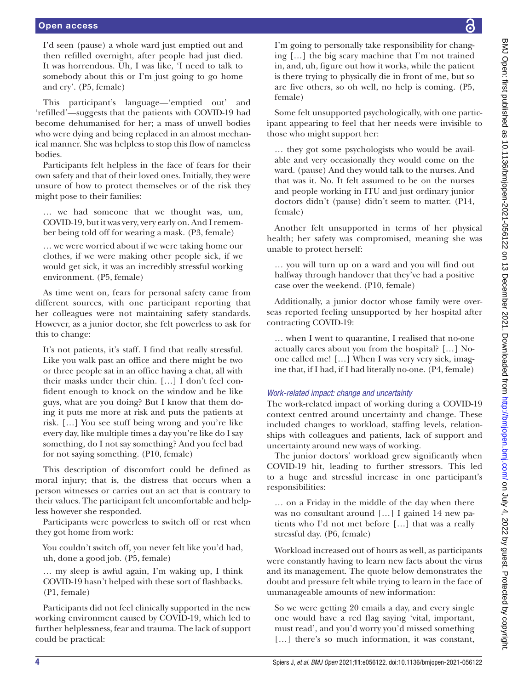I'd seen (pause) a whole ward just emptied out and then refilled overnight, after people had just died. It was horrendous. Uh, I was like, 'I need to talk to somebody about this or I'm just going to go home and cry'. (P5, female)

female)

female)

those who might support her:

unable to protect herself:

contracting COVID-19:

This participant's language—'emptied out' and 'refilled'—suggests that the patients with COVID-19 had become dehumanised for her; a mass of unwell bodies who were dying and being replaced in an almost mechanical manner. She was helpless to stop this flow of nameless bodies.

Participants felt helpless in the face of fears for their own safety and that of their loved ones. Initially, they were unsure of how to protect themselves or of the risk they might pose to their families:

… we had someone that we thought was, um, COVID-19, but it was very, very early on. And I remember being told off for wearing a mask. (P3, female)

… we were worried about if we were taking home our clothes, if we were making other people sick, if we would get sick, it was an incredibly stressful working environment. (P5, female)

As time went on, fears for personal safety came from different sources, with one participant reporting that her colleagues were not maintaining safety standards. However, as a junior doctor, she felt powerless to ask for this to change:

It's not patients, it's staff. I find that really stressful. Like you walk past an office and there might be two or three people sat in an office having a chat, all with their masks under their chin. […] I don't feel confident enough to knock on the window and be like guys, what are you doing? But I know that them doing it puts me more at risk and puts the patients at risk. […] You see stuff being wrong and you're like every day, like multiple times a day you're like do I say something, do I not say something? And you feel bad for not saying something. (P10, female)

This description of discomfort could be defined as moral injury; that is, the distress that occurs when a person witnesses or carries out an act that is contrary to their values. The participant felt uncomfortable and helpless however she responded.

Participants were powerless to switch off or rest when they got home from work:

You couldn't switch off, you never felt like you'd had, uh, done a good job. (P5, female)

… my sleep is awful again, I'm waking up, I think COVID-19 hasn't helped with these sort of flashbacks. (P1, female)

Participants did not feel clinically supported in the new working environment caused by COVID-19, which led to further helplessness, fear and trauma. The lack of support could be practical:

I'm going to personally take responsibility for changing […] the big scary machine that I'm not trained

in, and, uh, figure out how it works, while the patient is there trying to physically die in front of me, but so are five others, so oh well, no help is coming. (P5, Some felt unsupported psychologically, with one participant appearing to feel that her needs were invisible to … they got some psychologists who would be available and very occasionally they would come on the ward. (pause) And they would talk to the nurses. And that was it. No. It felt assumed to be on the nurses and people working in ITU and just ordinary junior doctors didn't (pause) didn't seem to matter. (P14, Another felt unsupported in terms of her physical health; her safety was compromised, meaning she was … you will turn up on a ward and you will find out halfway through handover that they've had a positive case over the weekend. (P10, female) Additionally, a junior doctor whose family were overseas reported feeling unsupported by her hospital after … when I went to quarantine, I realised that no-one actually cares about you from the hospital? […] Noone called me! […] When I was very very sick, imagine that, if I had, if I had literally no-one. (P4, female) *Work-related impact: change and uncertainty* The work-related impact of working during a COVID-19 context centred around uncertainty and change. These included changes to workload, staffing levels, relationships with colleagues and patients, lack of support and uncertainty around new ways of working.

The junior doctors' workload grew significantly when COVID-19 hit, leading to further stressors. This led to a huge and stressful increase in one participant's responsibilities:

… on a Friday in the middle of the day when there was no consultant around […] I gained 14 new patients who I'd not met before […] that was a really stressful day. (P6, female)

Workload increased out of hours as well, as participants were constantly having to learn new facts about the virus and its management. The quote below demonstrates the doubt and pressure felt while trying to learn in the face of unmanageable amounts of new information:

So we were getting 20 emails a day, and every single one would have a red flag saying 'vital, important, must read', and you'd worry you'd missed something [...] there's so much information, it was constant,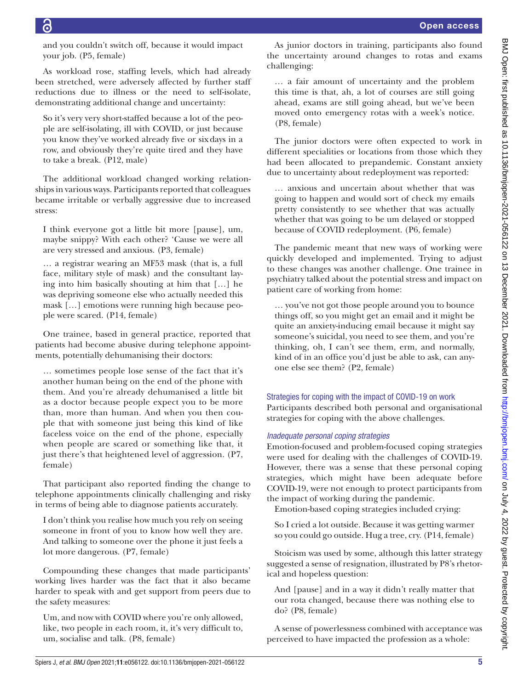$\overline{c}$ 

and you couldn't switch off, because it would impact your job. (P5, female)

As workload rose, staffing levels, which had already been stretched, were adversely affected by further staff reductions due to illness or the need to self-isolate, demonstrating additional change and uncertainty:

So it's very very short-staffed because a lot of the people are self-isolating, ill with COVID, or just because you know they've worked already five or sixdays in a row, and obviously they're quite tired and they have to take a break. (P12, male)

The additional workload changed working relationships in various ways. Participants reported that colleagues became irritable or verbally aggressive due to increased stress:

I think everyone got a little bit more [pause], um, maybe snippy? With each other? 'Cause we were all are very stressed and anxious. (P3, female)

… a registrar wearing an MF53 mask (that is, a full face, military style of mask) and the consultant laying into him basically shouting at him that […] he was depriving someone else who actually needed this mask […] emotions were running high because people were scared. (P14, female)

One trainee, based in general practice, reported that patients had become abusive during telephone appointments, potentially dehumanising their doctors:

… sometimes people lose sense of the fact that it's another human being on the end of the phone with them. And you're already dehumanised a little bit as a doctor because people expect you to be more than, more than human. And when you then couple that with someone just being this kind of like faceless voice on the end of the phone, especially when people are scared or something like that, it just there's that heightened level of aggression. (P7, female)

That participant also reported finding the change to telephone appointments clinically challenging and risky in terms of being able to diagnose patients accurately.

I don't think you realise how much you rely on seeing someone in front of you to know how well they are. And talking to someone over the phone it just feels a lot more dangerous. (P7, female)

Compounding these changes that made participants' working lives harder was the fact that it also became harder to speak with and get support from peers due to the safety measures:

Um, and now with COVID where you're only allowed, like, two people in each room, it, it's very difficult to, um, socialise and talk. (P8, female)

As junior doctors in training, participants also found the uncertainty around changes to rotas and exams challenging:

… a fair amount of uncertainty and the problem this time is that, ah, a lot of courses are still going ahead, exams are still going ahead, but we've been moved onto emergency rotas with a week's notice. (P8, female)

The junior doctors were often expected to work in different specialities or locations from those which they had been allocated to prepandemic. Constant anxiety due to uncertainty about redeployment was reported:

… anxious and uncertain about whether that was going to happen and would sort of check my emails pretty consistently to see whether that was actually whether that was going to be um delayed or stopped because of COVID redeployment. (P6, female)

The pandemic meant that new ways of working were quickly developed and implemented. Trying to adjust to these changes was another challenge. One trainee in psychiatry talked about the potential stress and impact on patient care of working from home:

… you've not got those people around you to bounce things off, so you might get an email and it might be quite an anxiety-inducing email because it might say someone's suicidal, you need to see them, and you're thinking, oh, I can't see them, erm, and normally, kind of in an office you'd just be able to ask, can anyone else see them? (P2, female)

## Strategies for coping with the impact of COVID-19 on work Participants described both personal and organisational

strategies for coping with the above challenges.

## *Inadequate personal coping strategies*

Emotion-focused and problem-focused coping strategies were used for dealing with the challenges of COVID-19. However, there was a sense that these personal coping strategies, which might have been adequate before COVID-19, were not enough to protect participants from the impact of working during the pandemic.

Emotion-based coping strategies included crying:

So I cried a lot outside. Because it was getting warmer so you could go outside. Hug a tree, cry. (P14, female)

Stoicism was used by some, although this latter strategy suggested a sense of resignation, illustrated by P8's rhetorical and hopeless question:

And [pause] and in a way it didn't really matter that our rota changed, because there was nothing else to do? (P8, female)

A sense of powerlessness combined with acceptance was perceived to have impacted the profession as a whole: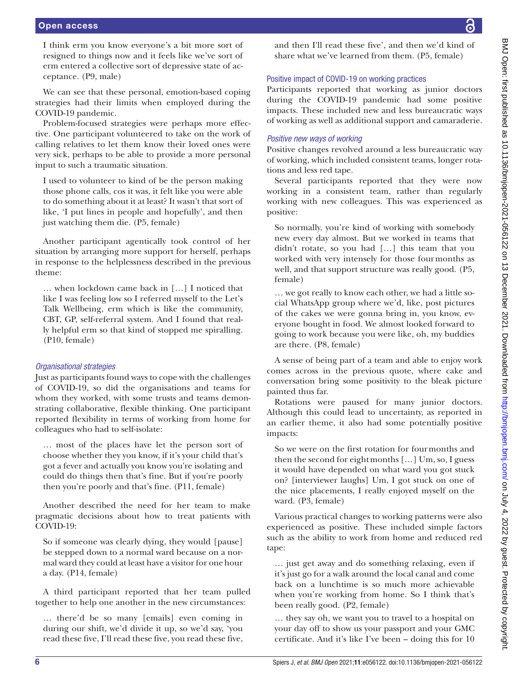I think erm you know everyone's a bit more sort of resigned to things now and it feels like we've sort of erm entered a collective sort of depressive state of acceptance. (P9, male)

We can see that these personal, emotion-based coping strategies had their limits when employed during the COVID-19 pandemic.

Problem-focused strategies were perhaps more effective. One participant volunteered to take on the work of calling relatives to let them know their loved ones were very sick, perhaps to be able to provide a more personal input to such a traumatic situation.

I used to volunteer to kind of be the person making those phone calls, cos it was, it felt like you were able to do something about it at least? It wasn't that sort of like, 'I put lines in people and hopefully', and then just watching them die. (P5, female)

Another participant agentically took control of her situation by arranging more support for herself, perhaps in response to the helplessness described in the previous theme:

… when lockdown came back in […] I noticed that like I was feeling low so I referred myself to the Let's Talk Wellbeing, erm which is like the community, CBT, GP, self-referral system. And I found that really helpful erm so that kind of stopped me spiralling. (P10, female)

# *Organisational strategies*

Just as participants found ways to cope with the challenges of COVID-19, so did the organisations and teams for whom they worked, with some trusts and teams demonstrating collaborative, flexible thinking. One participant reported flexibility in terms of working from home for colleagues who had to self-isolate:

… most of the places have let the person sort of choose whether they you know, if it's your child that's got a fever and actually you know you're isolating and could do things then that's fine. But if you're poorly then you're poorly and that's fine. (P11, female)

Another described the need for her team to make pragmatic decisions about how to treat patients with COVID-19:

So if someone was clearly dying, they would [pause] be stepped down to a normal ward because on a normal ward they could at least have a visitor for onehour a day. (P14, female)

A third participant reported that her team pulled together to help one another in the new circumstances:

… there'd be so many [emails] even coming in during our shift, we'd divide it up, so we'd say, 'you read these five, I'll read these five, you read these five,

and then I'll read these five', and then we'd kind of share what we've learned from them. (P5, female)

# Positive impact of COVID-19 on working practices

Participants reported that working as junior doctors during the COVID-19 pandemic had some positive impacts. These included new and less bureaucratic ways of working as well as additional support and camaraderie.

# *Positive new ways of working*

Positive changes revolved around a less bureaucratic way of working, which included consistent teams, longer rotations and less red tape.

Several participants reported that they were now working in a consistent team, rather than regularly working with new colleagues. This was experienced as positive:

So normally, you're kind of working with somebody new every day almost. But we worked in teams that didn't rotate, so you had […] this team that you worked with very intensely for those fourmonths as well, and that support structure was really good. (P5, female)

… we got really to know each other, we had a little social WhatsApp group where we'd, like, post pictures of the cakes we were gonna bring in, you know, everyone bought in food. We almost looked forward to going to work because you were like, oh, my buddies are there. (P8, female)

A sense of being part of a team and able to enjoy work comes across in the previous quote, where cake and conversation bring some positivity to the bleak picture painted thus far.

Rotations were paused for many junior doctors. Although this could lead to uncertainty, as reported in an earlier theme, it also had some potentially positive impacts:

So we were on the first rotation for fourmonths and then the second for eightmonths […] Um, so, I guess it would have depended on what ward you got stuck on? [interviewer laughs] Um, I got stuck on one of the nice placements, I really enjoyed myself on the ward. (P3, female)

Various practical changes to working patterns were also experienced as positive. These included simple factors such as the ability to work from home and reduced red tape:

… just get away and do something relaxing, even if it's just go for a walk around the local canal and come back on a lunchtime is so much more achievable when you're working from home. So I think that's been really good. (P2, female)

… they say oh, we want you to travel to a hospital on your day off to show us your passport and your GMC certificate. And it's like I've been – doing this for 10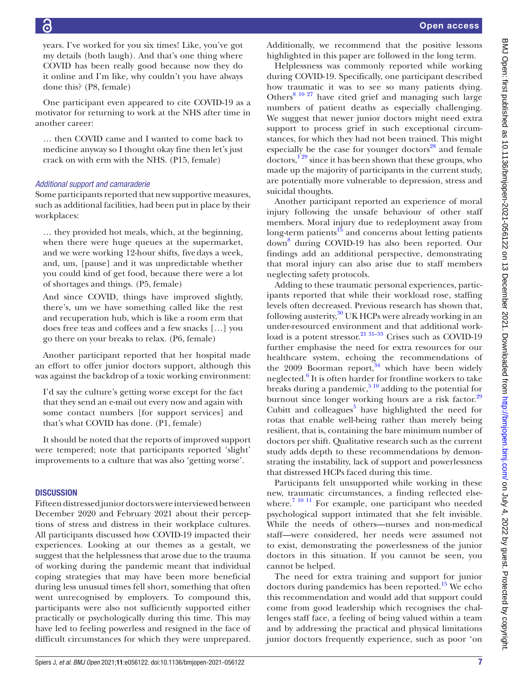years. I've worked for you six times! Like, you've got my details (both laugh). And that's one thing where COVID has been really good because now they do it online and I'm like, why couldn't you have always done this? (P8, female)

One participant even appeared to cite COVID-19 as a motivator for returning to work at the NHS after time in another career:

… then COVID came and I wanted to come back to medicine anyway so I thought okay fine then let's just crack on with erm with the NHS. (P15, female)

## *Additional support and camaraderie*

Some participants reported that new supportive measures, such as additional facilities, had been put in place by their workplaces:

… they provided hot meals, which, at the beginning, when there were huge queues at the supermarket, and we were working 12-hour shifts, fivedays a week, and, um, [pause] and it was unpredictable whether you could kind of get food, because there were a lot of shortages and things. (P5, female)

And since COVID, things have improved slightly, there's, um we have something called like the rest and recuperation hub, which is like a room erm that does free teas and coffees and a few snacks […] you go there on your breaks to relax. (P6, female)

Another participant reported that her hospital made an effort to offer junior doctors support, although this was against the backdrop of a toxic working environment:

I'd say the culture's getting worse except for the fact that they send an e-mail out every now and again with some contact numbers [for support services] and that's what COVID has done. (P1, female)

It should be noted that the reports of improved support were tempered; note that participants reported 'slight' improvements to a culture that was also 'getting worse'.

## **DISCUSSION**

Fifteen distressed junior doctors were interviewed between December 2020 and February 2021 about their perceptions of stress and distress in their workplace cultures. All participants discussed how COVID-19 impacted their experiences. Looking at our themes as a gestalt, we suggest that the helplessness that arose due to the trauma of working during the pandemic meant that individual coping strategies that may have been more beneficial during less unusual times fell short, something that often went unrecognised by employers. To compound this, participants were also not sufficiently supported either practically or psychologically during this time. This may have led to feeling powerless and resigned in the face of difficult circumstances for which they were unprepared.

Additionally, we recommend that the positive lessons highlighted in this paper are followed in the long term.

Helplessness was commonly reported while working during COVID-19. Specifically, one participant described how traumatic it was to see so many patients dying. Others<sup>[8 10 27](#page-8-4)</sup> have cited grief and managing such large numbers of patient deaths as especially challenging. We suggest that newer junior doctors might need extra support to process grief in such exceptional circumstances, for which they had not been trained. This might especially be the case for younger doctors $^{28}$  and female  $\arccos$ <sup>129</sup> since it has been shown that these groups, who made up the majority of participants in the current study, are potentially more vulnerable to depression, stress and suicidal thoughts.

Another participant reported an experience of moral injury following the unsafe behaviour of other staff members. Moral injury due to redeployment away from long-term patients $15$  and concerns about letting patients down[8](#page-8-4) during COVID-19 has also been reported. Our findings add an additional perspective, demonstrating that moral injury can also arise due to staff members neglecting safety protocols.

Adding to these traumatic personal experiences, participants reported that while their workload rose, staffing levels often decreased. Previous research has shown that, following austerity, $30$  UK HCPs were already working in an under-resourced environment and that additional workload is a potent stressor. $2131-33$  Crises such as COVID-19 further emphasise the need for extra resources for our healthcare system, echoing the recommendations of the  $2009$  Boorman report, <sup>[34](#page-9-7)</sup> which have been widely neglected.<sup>[6](#page-8-2)</sup> It is often harder for frontline workers to take breaks during a pandemic,  $5^{10}$  adding to the potential for burnout since longer working hours are a risk factor.<sup>[29](#page-9-8)</sup> Cubitt and colleagues<sup>[5](#page-8-8)</sup> have highlighted the need for rotas that enable well-being rather than merely being resilient, that is, containing the bare minimum number of doctors per shift. Qualitative research such as the current study adds depth to these recommendations by demonstrating the instability, lack of support and powerlessness that distressed HCPs faced during this time.

Participants felt unsupported while working in these new, traumatic circumstances, a finding reflected elsewhere.<sup>7 10 11</sup> For example, one participant who needed psychological support intimated that she felt invisible. While the needs of others—nurses and non-medical staff—were considered, her needs were assumed not to exist, demonstrating the powerlessness of the junior doctors in this situation. If you cannot be seen, you cannot be helped.

The need for extra training and support for junior doctors during pandemics has been reported.<sup>[15](#page-8-11)</sup> We echo this recommendation and would add that support could come from good leadership which recognises the challenges staff face, a feeling of being valued within a team and by addressing the practical and physical limitations junior doctors frequently experience, such as poor 'on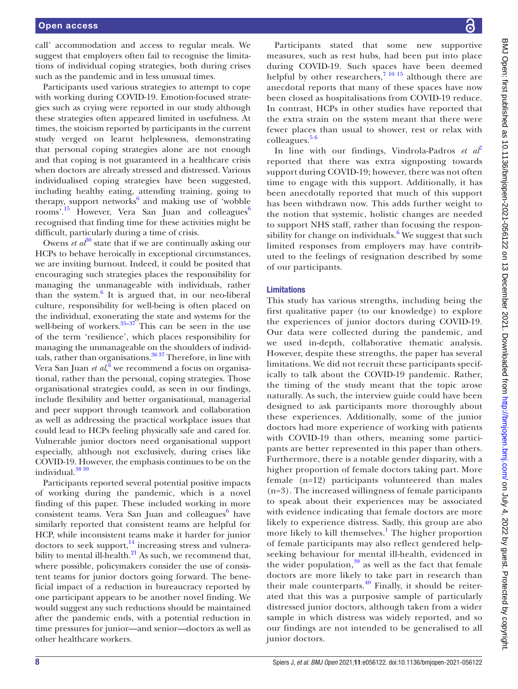call' accommodation and access to regular meals. We suggest that employers often fail to recognise the limitations of individual coping strategies, both during crises such as the pandemic and in less unusual times.

Participants used various strategies to attempt to cope with working during COVID-19. Emotion-focused strategies such as crying were reported in our study although these strategies often appeared limited in usefulness. At times, the stoicism reported by participants in the current study verged on learnt helplessness, demonstrating that personal coping strategies alone are not enough and that coping is not guaranteed in a healthcare crisis when doctors are already stressed and distressed. Various individualised coping strategies have been suggested, including healthy eating, attending training, going to therapy, support networks<sup>[6](#page-8-2)</sup> and making use of 'wobble rooms'.<sup>[15](#page-8-11)</sup> However, Vera San Juan and colleagues<sup>[6](#page-8-2)</sup> recognised that finding time for these activities might be difficult, particularly during a time of crisis.

Owens *et al*<sup>[30](#page-9-6)</sup> state that if we are continually asking our HCPs to behave heroically in exceptional circumstances, we are inviting burnout. Indeed, it could be posited that encouraging such strategies places the responsibility for managing the unmanageable with individuals, rather than the system.<sup>[6](#page-8-2)</sup> It is argued that, in our neo-liberal culture, responsibility for well-being is often placed on the individual, exonerating the state and systems for the well-being of workers. $35-37$  This can be seen in the use of the term 'resilience', which places responsibility for managing the unmanageable on the shoulders of individuals, rather than organisations.<sup>3637</sup> Therefore, in line with Vera San Juan *et al*, <sup>[6](#page-8-2)</sup> we recommend a focus on organisational, rather than the personal, coping strategies. Those organisational strategies could, as seen in our findings, include flexibility and better organisational, managerial and peer support through teamwork and collaboration as well as addressing the practical workplace issues that could lead to HCPs feeling physically safe and cared for. Vulnerable junior doctors need organisational support especially, although not exclusively, during crises like COVID-19. However, the emphasis continues to be on the individual.<sup>38</sup> 39

Participants reported several potential positive impacts of working during the pandemic, which is a novel finding of this paper. These included working in more consistent teams. Vera San Juan and colleagues<sup>[6](#page-8-2)</sup> have similarly reported that consistent teams are helpful for HCP, while inconsistent teams make it harder for junior doctors to seek support, $^{14}$  increasing stress and vulnerability to mental ill-health. $^{21}$  $^{21}$  $^{21}$  As such, we recommend that, where possible, policymakers consider the use of consistent teams for junior doctors going forward. The beneficial impact of a reduction in bureaucracy reported by one participant appears to be another novel finding. We would suggest any such reductions should be maintained after the pandemic ends, with a potential reduction in time pressures for junior—and senior—doctors as well as other healthcare workers.

Participants stated that some new supportive measures, such as rest hubs, had been put into place during COVID-19. Such spaces have been deemed helpful by other researchers,  $7^{10}$  15 although there are anecdotal reports that many of these spaces have now been closed as hospitalisations from COVID-19 reduce. In contrast, HCPs in other studies have reported that the extra strain on the system meant that there were fewer places than usual to shower, rest or relax with colleagues.<sup>56</sup>

In line with our findings, Vindrola-Padros *et al*<sup>[7](#page-8-6)</sup> reported that there was extra signposting towards support during COVID-19; however, there was not often time to engage with this support. Additionally, it has been anecdotally reported that much of this support has been withdrawn now. This adds further weight to the notion that systemic, holistic changes are needed to support NHS staff, rather than focusing the responsibility for change on individuals. $6$  We suggest that such limited responses from employers may have contributed to the feelings of resignation described by some of our participants.

#### Limitations

This study has various strengths, including being the first qualitative paper (to our knowledge) to explore the experiences of junior doctors during COVID-19. Our data were collected during the pandemic, and we used in-depth, collaborative thematic analysis. However, despite these strengths, the paper has several limitations. We did not recruit these participants specifically to talk about the COVID-19 pandemic. Rather, the timing of the study meant that the topic arose naturally. As such, the interview guide could have been designed to ask participants more thoroughly about these experiences. Additionally, some of the junior doctors had more experience of working with patients with COVID-19 than others, meaning some participants are better represented in this paper than others. Furthermore, there is a notable gender disparity, with a higher proportion of female doctors taking part. More female (n=12) participants volunteered than males (n=3). The increased willingness of female participants to speak about their experiences may be associated with evidence indicating that female doctors are more likely to experience distress. Sadly, this group are also more likely to kill themselves.<sup>[1](#page-8-0)</sup> The higher proportion of female participants may also reflect gendered helpseeking behaviour for mental ill-health, evidenced in the wider population, $39$  as well as the fact that female doctors are more likely to take part in research than their male counterparts. $40$  Finally, it should be reiterated that this was a purposive sample of particularly distressed junior doctors, although taken from a wider sample in which distress was widely reported, and so our findings are not intended to be generalised to all junior doctors.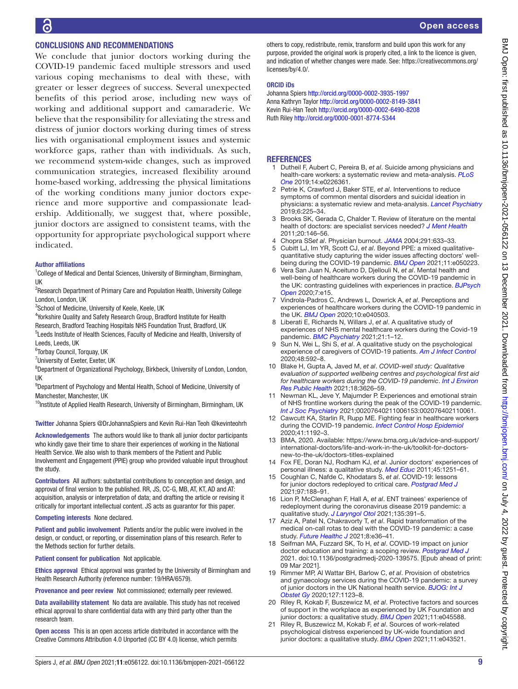# CONCLUSIONS AND RECOMMENDATIONS

We conclude that junior doctors working during the COVID-19 pandemic faced multiple stressors and used various coping mechanisms to deal with these, with greater or lesser degrees of success. Several unexpected benefits of this period arose, including new ways of working and additional support and camaraderie. We believe that the responsibility for alleviating the stress and distress of junior doctors working during times of stress lies with organisational employment issues and systemic workforce gaps, rather than with individuals. As such, we recommend system-wide changes, such as improved communication strategies, increased flexibility around home-based working, addressing the physical limitations of the working conditions many junior doctors experience and more supportive and compassionate leadership. Additionally, we suggest that, where possible, junior doctors are assigned to consistent teams, with the opportunity for appropriate psychological support where indicated.

#### Author affiliations

<sup>1</sup>College of Medical and Dental Sciences, University of Birmingham, Birmingham, UK

<sup>2</sup>Research Department of Primary Care and Population Health, University College London, London, UK

<sup>3</sup>School of Medicine, University of Keele, Keele, UK

<sup>4</sup> Yorkshire Quality and Safety Research Group, Bradford Institute for Health Research, Bradford Teaching Hospitals NHS Foundation Trust, Bradford, UK

<sup>5</sup> Leeds Institute of Health Sciences, Faculty of Medicine and Health, University of Leeds, Leeds, UK

6 Torbay Council, Torquay, UK

<sup>7</sup>University of Exeter, Exeter, UK

<sup>8</sup>Department of Organizational Psychology, Birkbeck, University of London, London, UK

<sup>9</sup>Department of Psychology and Mental Health, School of Medicine, University of Manchester, Manchester, UK

<sup>10</sup>Institute of Applied Health Research, University of Birmingham, Birmingham, UK

Twitter Johanna Spiers [@DrJohannaSpiers](https://twitter.com/DrJohannaSpiers) and Kevin Rui-Han Teoh [@kevinteohrh](https://twitter.com/kevinteohrh)

Acknowledgements The authors would like to thank all junior doctor participants who kindly gave their time to share their experiences of working in the National Health Service. We also wish to thank members of the Patient and Public Involvement and Engagement (PPIE) group who provided valuable input throughout the study.

Contributors All authors: substantial contributions to conception and design, and approval of final version to the published. RR, JS, CC-G, MB, AT, KT, AD and AT: acquisition, analysis or interpretation of data; and drafting the article or revising it critically for important intellectual content. JS acts as guarantor for this paper.

#### Competing interests None declared.

Patient and public involvement Patients and/or the public were involved in the design, or conduct, or reporting, or dissemination plans of this research. Refer to the Methods section for further details.

Patient consent for publication Not applicable.

Ethics approval Ethical approval was granted by the University of Birmingham and Health Research Authority (reference number: 19/HRA/6579).

Provenance and peer review Not commissioned; externally peer reviewed.

Data availability statement No data are available. This study has not received ethical approval to share confidential data with any third party other than the research team.

Open access This is an open access article distributed in accordance with the Creative Commons Attribution 4.0 Unported (CC BY 4.0) license, which permits

others to copy, redistribute, remix, transform and build upon this work for any purpose, provided the original work is properly cited, a link to the licence is given, and indication of whether changes were made. See: [https://creativecommons.org/](https://creativecommons.org/licenses/by/4.0/) [licenses/by/4.0/](https://creativecommons.org/licenses/by/4.0/).

#### ORCID iDs

Johanna Spiers<http://orcid.org/0000-0002-3935-1997> Anna Kathryn Taylor <http://orcid.org/0000-0002-8149-3841> Kevin Rui-Han Teoh <http://orcid.org/0000-0002-6490-8208> Ruth Riley <http://orcid.org/0000-0001-8774-5344>

## **REFERENCES**

- <span id="page-8-0"></span>1 Dutheil F, Aubert C, Pereira B, *et al*. Suicide among physicians and health-care workers: a systematic review and meta-analysis. *[PLoS](http://dx.doi.org/10.1371/journal.pone.0226361)  [One](http://dx.doi.org/10.1371/journal.pone.0226361)* 2019;14:e0226361.
- 2 Petrie K, Crawford J, Baker STE, *et al*. Interventions to reduce symptoms of common mental disorders and suicidal ideation in physicians: a systematic review and meta-analysis. *[Lancet Psychiatry](http://dx.doi.org/10.1016/S2215-0366(18)30509-1)* 2019;6:225–34.
- <span id="page-8-1"></span>3 Brooks SK, Gerada C, Chalder T. Review of literature on the mental health of doctors: are specialist services needed? *[J Ment Health](http://dx.doi.org/10.3109/09638237.2010.541300)* 2011;20:146–56.
- 4 Chopra SS*et al*. Physician burnout. *[JAMA](http://dx.doi.org/10.1001/jama.291.5.633)* 2004;291:633–33.
- <span id="page-8-8"></span>5 Cubitt LJ, Im YR, Scott CJ, *et al*. Beyond PPE: a mixed qualitativequantitative study capturing the wider issues affecting doctors' wellbeing during the COVID-19 pandemic. *[BMJ Open](http://dx.doi.org/10.1136/bmjopen-2021-050223)* 2021;11:e050223.
- <span id="page-8-2"></span>6 Vera San Juan N, Aceituno D, Djellouli N, *et al*. Mental health and well-being of healthcare workers during the COVID-19 pandemic in the UK: contrasting guidelines with experiences in practice. *[BJPsych](http://dx.doi.org/10.1192/bjo.2020.148)  [Open](http://dx.doi.org/10.1192/bjo.2020.148)* 2020;7:e15.
- <span id="page-8-6"></span>7 Vindrola-Padros C, Andrews L, Dowrick A, *et al*. Perceptions and experiences of healthcare workers during the COVID-19 pandemic in the UK. *[BMJ Open](http://dx.doi.org/10.1136/bmjopen-2020-040503)* 2020;10:e040503.
- <span id="page-8-4"></span>8 Liberati E, Richards N, Willars J, *et al*. A qualitative study of experiences of NHS mental healthcare workers during the Covid-19 pandemic. *[BMC Psychiatry](http://dx.doi.org/10.1186/s12888-021-03261-8)* 2021;21:1–12.
- <span id="page-8-3"></span>9 Sun N, Wei L, Shi S, *et al*. A qualitative study on the psychological experience of caregivers of COVID-19 patients. *[Am J Infect Control](http://dx.doi.org/10.1016/j.ajic.2020.03.018)* 2020;48:592–8.
- <span id="page-8-7"></span>10 Blake H, Gupta A, Javed M, *et al*. *COVID-well study: Qualitative evaluation of supported wellbeing centres and psychological first aid for healthcare workers during the COVID-19 pandemic*. *[Int J Environ](http://dx.doi.org/10.3390/ijerph18073626)  [Res Public Health](http://dx.doi.org/10.3390/ijerph18073626)* 2021;18:3626–59.
- <span id="page-8-5"></span>11 Newman KL, Jeve Y, Majumder P. Experiences and emotional strain of NHS frontline workers during the peak of the COVID-19 pandemic. *[Int J Soc Psychiatry](http://dx.doi.org/10.1177/00207640211006153)* 2021;00207640211006153:002076402110061.
- 12 Cawcutt KA, Starlin R, Rupp ME. Fighting fear in healthcare workers during the COVID-19 pandemic. *[Infect Control Hosp Epidemiol](http://dx.doi.org/10.1017/ice.2020.315)* 2020;41:1192–3.
- <span id="page-8-9"></span>13 BMA, 2020. Available: [https://www.bma.org.uk/advice-and-support/](https://www.bma.org.uk/advice-and-support/international-doctors/life-and-work-in-the-uk/toolkit-for-doctors-new-to-the-uk/doctors-titles-explained) [international-doctors/life-and-work-in-the-uk/toolkit-for-doctors](https://www.bma.org.uk/advice-and-support/international-doctors/life-and-work-in-the-uk/toolkit-for-doctors-new-to-the-uk/doctors-titles-explained)[new-to-the-uk/doctors-titles-explained](https://www.bma.org.uk/advice-and-support/international-doctors/life-and-work-in-the-uk/toolkit-for-doctors-new-to-the-uk/doctors-titles-explained)
- <span id="page-8-10"></span>14 Fox FE, Doran NJ, Rodham KJ, *et al*. Junior doctors' experiences of personal illness: a qualitative study. *[Med Educ](http://dx.doi.org/10.1111/j.1365-2923.2011.04083.x)* 2011;45:1251–61.
- <span id="page-8-11"></span>15 Coughlan C, Nafde C, Khodatars S, *et al*. COVID-19: lessons for junior doctors redeployed to critical care. *[Postgrad Med J](http://dx.doi.org/10.1136/postgradmedj-2020-138100)* 2021;97:188–91.
- 16 Lion P, McClenaghan F, Hall A, *et al*. ENT trainees' experience of redeployment during the coronavirus disease 2019 pandemic: a qualitative study. *[J Laryngol Otol](http://dx.doi.org/10.1017/S0022215121000840)* 2021;135:391–5.
- <span id="page-8-12"></span>17 Aziz A, Patel N, Chakravorty T, *et al*. Rapid transformation of the medical on-call rotas to deal with the COVID-19 pandemic: a case study. *[Future Healthc J](http://dx.doi.org/10.7861/fhj.2020-0148)* 2021;8:e36–41.
- <span id="page-8-13"></span>18 Seifman MA, Fuzzard SK, To H, *et al*. COVID-19 impact on junior doctor education and training: a scoping review. *[Postgrad Med J](http://dx.doi.org/10.1136/postgradmedj-2020-139575)* 2021. doi:10.1136/postgradmedj-2020-139575. [Epub ahead of print: 09 Mar 2021].
- <span id="page-8-14"></span>19 Rimmer MP, Al Wattar BH, Barlow C, *et al*. Provision of obstetrics and gynaecology services during the COVID‐19 pandemic: a survey of junior doctors in the UK National health service. *[BJOG: Int J](http://dx.doi.org/10.1111/1471-0528.16313)  [Obstet Gy](http://dx.doi.org/10.1111/1471-0528.16313)* 2020;127:1123–8.
- <span id="page-8-15"></span>20 Riley R, Kokab F, Buszewicz M, *et al*. Protective factors and sources of support in the workplace as experienced by UK Foundation and junior doctors: a qualitative study. *[BMJ Open](http://dx.doi.org/10.1136/bmjopen-2020-045588)* 2021;11:e045588.
- <span id="page-8-16"></span>21 Riley R, Buszewicz M, Kokab F, *et al*. Sources of work-related psychological distress experienced by UK-wide foundation and junior doctors: a qualitative study. *[BMJ Open](http://dx.doi.org/10.1136/bmjopen-2020-043521)* 2021;11:e043521.